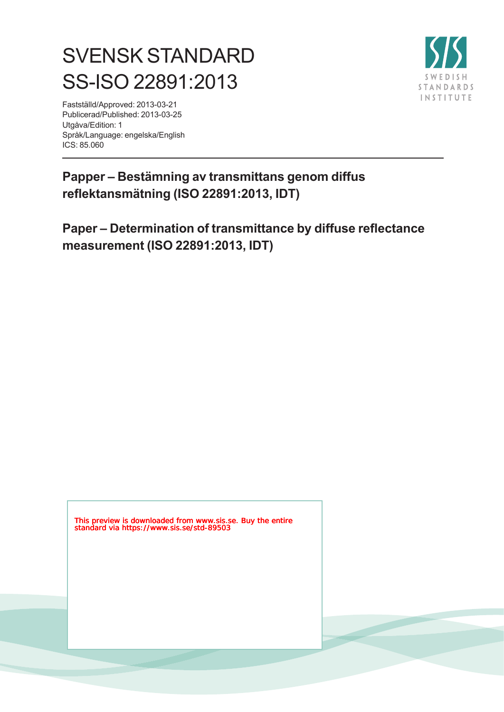# SVENSK STANDARD SS-ISO 22891:2013

**SWEDISH STANDARDS INSTITUTE** 

Fastställd/Approved: 2013-03-21 Publicerad/Published: 2013-03-25 Utgåva/Edition: 1 Språk/Language: engelska/English ICS: 85.060

## **Papper – Bestämning av transmittans genom diffus reflektansmätning (ISO 22891:2013, IDT)**

**Paper – Determination of transmittance by diffuse reflectance measurement (ISO 22891:2013, IDT)**

This preview is downloaded from www.sis.se. Buy the entire standard via https://www.sis.se/std-89503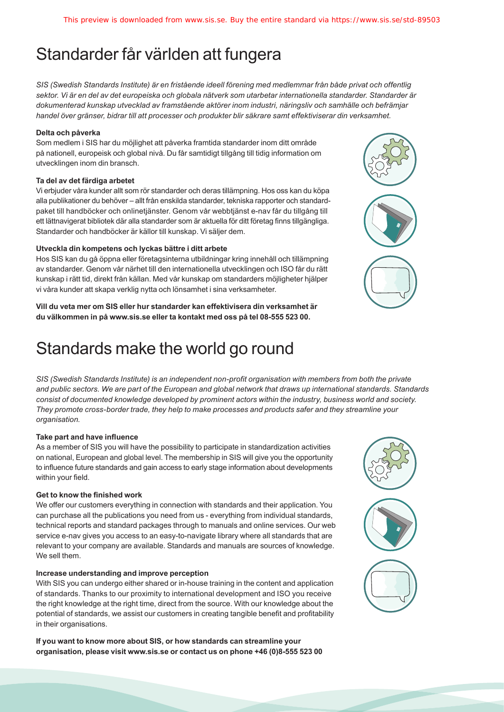## Standarder får världen att fungera

*SIS (Swedish Standards Institute) är en fristående ideell förening med medlemmar från både privat och offentlig sektor. Vi är en del av det europeiska och globala nätverk som utarbetar internationella standarder. Standarder är dokumenterad kunskap utvecklad av framstående aktörer inom industri, näringsliv och samhälle och befrämjar handel över gränser, bidrar till att processer och produkter blir säkrare samt effektiviserar din verksamhet.* 

#### **Delta och påverka**

Som medlem i SIS har du möjlighet att påverka framtida standarder inom ditt område på nationell, europeisk och global nivå. Du får samtidigt tillgång till tidig information om utvecklingen inom din bransch.

#### **Ta del av det färdiga arbetet**

Vi erbjuder våra kunder allt som rör standarder och deras tillämpning. Hos oss kan du köpa alla publikationer du behöver – allt från enskilda standarder, tekniska rapporter och standardpaket till handböcker och onlinetjänster. Genom vår webbtjänst e-nav får du tillgång till ett lättnavigerat bibliotek där alla standarder som är aktuella för ditt företag finns tillgängliga. Standarder och handböcker är källor till kunskap. Vi säljer dem.

#### **Utveckla din kompetens och lyckas bättre i ditt arbete**

Hos SIS kan du gå öppna eller företagsinterna utbildningar kring innehåll och tillämpning av standarder. Genom vår närhet till den internationella utvecklingen och ISO får du rätt kunskap i rätt tid, direkt från källan. Med vår kunskap om standarders möjligheter hjälper vi våra kunder att skapa verklig nytta och lönsamhet i sina verksamheter.

**Vill du veta mer om SIS eller hur standarder kan effektivisera din verksamhet är du välkommen in på www.sis.se eller ta kontakt med oss på tel 08-555 523 00.**

## Standards make the world go round

*SIS (Swedish Standards Institute) is an independent non-profit organisation with members from both the private and public sectors. We are part of the European and global network that draws up international standards. Standards consist of documented knowledge developed by prominent actors within the industry, business world and society. They promote cross-border trade, they help to make processes and products safer and they streamline your organisation.*

#### **Take part and have influence**

As a member of SIS you will have the possibility to participate in standardization activities on national, European and global level. The membership in SIS will give you the opportunity to influence future standards and gain access to early stage information about developments within your field.

#### **Get to know the finished work**

We offer our customers everything in connection with standards and their application. You can purchase all the publications you need from us - everything from individual standards, technical reports and standard packages through to manuals and online services. Our web service e-nav gives you access to an easy-to-navigate library where all standards that are relevant to your company are available. Standards and manuals are sources of knowledge. We sell them.

#### **Increase understanding and improve perception**

With SIS you can undergo either shared or in-house training in the content and application of standards. Thanks to our proximity to international development and ISO you receive the right knowledge at the right time, direct from the source. With our knowledge about the potential of standards, we assist our customers in creating tangible benefit and profitability in their organisations.

**If you want to know more about SIS, or how standards can streamline your organisation, please visit www.sis.se or contact us on phone +46 (0)8-555 523 00**



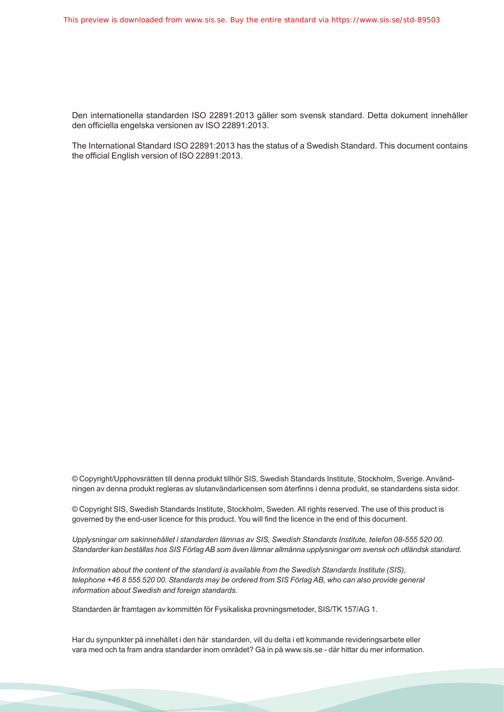Den internationella standarden ISO 22891:2013 gäller som svensk standard. Detta dokument innehåller den officiella engelska versionen av ISO 22891:2013.

The International Standard ISO 22891:2013 has the status of a Swedish Standard. This document contains the official English version of ISO 22891:2013.

© Copyright/Upphovsrätten till denna produkt tillhör SIS, Swedish Standards Institute, Stockholm, Sverige. Användningen av denna produkt regleras av slutanvändarlicensen som återfinns i denna produkt, se standardens sista sidor.

© Copyright SIS, Swedish Standards Institute, Stockholm, Sweden. All rights reserved. The use of this product is governed by the end-user licence for this product. You will find the licence in the end of this document.

*Upplysningar om sakinnehållet i standarden lämnas av SIS, Swedish Standards Institute, telefon 08-555 520 00. Standarder kan beställas hos SIS Förlag AB som även lämnar allmänna upplysningar om svensk och utländsk standard.*

*Information about the content of the standard is available from the Swedish Standards Institute (SIS), telephone +46 8 555 520 00. Standards may be ordered from SIS Förlag AB, who can also provide general information about Swedish and foreign standards.*

Standarden är framtagen av kommittén för Fysikaliska provningsmetoder, SIS/TK 157/AG 1.

Har du synpunkter på innehållet i den här standarden, vill du delta i ett kommande revideringsarbete eller vara med och ta fram andra standarder inom området? Gå in på www.sis.se - där hittar du mer information.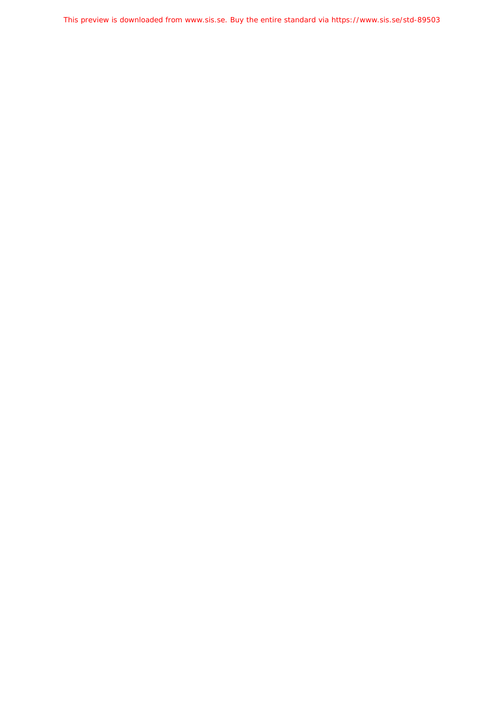This preview is downloaded from www.sis.se. Buy the entire standard via https://www.sis.se/std-89503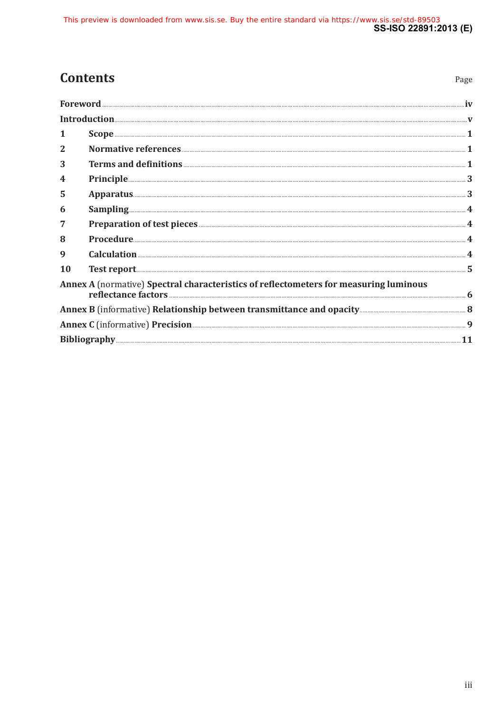## **Contents**

|                | Foreword                                                                                                                                                                                                                                                                                                                                                                                |  |
|----------------|-----------------------------------------------------------------------------------------------------------------------------------------------------------------------------------------------------------------------------------------------------------------------------------------------------------------------------------------------------------------------------------------|--|
|                |                                                                                                                                                                                                                                                                                                                                                                                         |  |
| 1              | $\textbf{Scope} \texttt{} \texttt{} \texttt{} \texttt{} \texttt{} \texttt{} \texttt{} \texttt{} \texttt{} \texttt{} \texttt{} \texttt{} \texttt{} \texttt{} \texttt{} \texttt{} \texttt{} \texttt{} \texttt{} \texttt{} \texttt{} \texttt{} \texttt{} \texttt{} \texttt{} \texttt{} \texttt{} \texttt{} \texttt{} \texttt{} \texttt{} \texttt{} \texttt{} \texttt{} \texttt{} \texttt{$ |  |
| $\overline{2}$ |                                                                                                                                                                                                                                                                                                                                                                                         |  |
| 3              | Terms and definitions <b>Executive Construction</b> and the state of the state of the state of the state of the state of the state of the state of the state of the state of the state of the state of the state of the state of th                                                                                                                                                     |  |
| 4              | Principle 3                                                                                                                                                                                                                                                                                                                                                                             |  |
| 5              |                                                                                                                                                                                                                                                                                                                                                                                         |  |
| 6              |                                                                                                                                                                                                                                                                                                                                                                                         |  |
| 7              | Preparation of test pieces 4                                                                                                                                                                                                                                                                                                                                                            |  |
| 8              |                                                                                                                                                                                                                                                                                                                                                                                         |  |
| 9              |                                                                                                                                                                                                                                                                                                                                                                                         |  |
| 10             | Calculation<br>Test report                                                                                                                                                                                                                                                                                                                                                              |  |
|                | Annex A (normative) Spectral characteristics of reflectometers for measuring luminous                                                                                                                                                                                                                                                                                                   |  |
|                | Annex B (informative) Relationship between transmittance and opacity <b>Manual Community</b> 8                                                                                                                                                                                                                                                                                          |  |
|                | Annex C (informative) Precision <b>Execution</b> 4 and 2011 120 and 2012 121 and 2013                                                                                                                                                                                                                                                                                                   |  |
|                |                                                                                                                                                                                                                                                                                                                                                                                         |  |

Page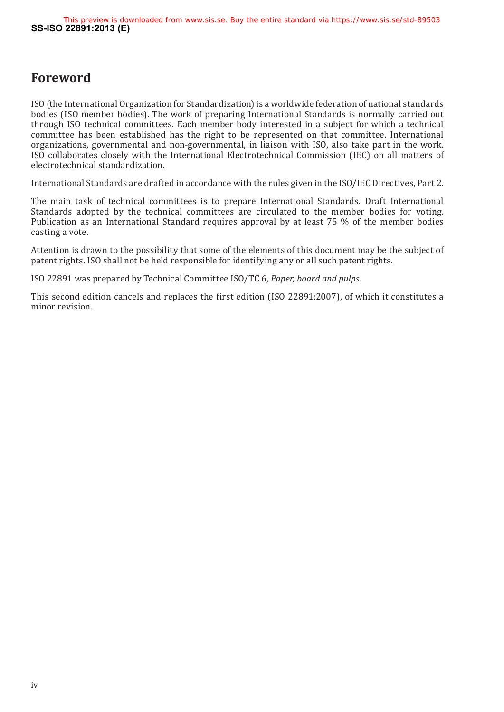### <span id="page-5-0"></span>**Foreword**

ISO (the International Organization for Standardization) is a worldwide federation of national standards bodies (ISO member bodies). The work of preparing International Standards is normally carried out through ISO technical committees. Each member body interested in a subject for which a technical committee has been established has the right to be represented on that committee. International organizations, governmental and non-governmental, in liaison with ISO, also take part in the work. ISO collaborates closely with the International Electrotechnical Commission (IEC) on all matters of electrotechnical standardization.

International Standards are drafted in accordance with the rules given in the ISO/IEC Directives, Part 2.

The main task of technical committees is to prepare International Standards. Draft International Standards adopted by the technical committees are circulated to the member bodies for voting. Publication as an International Standard requires approval by at least 75 % of the member bodies casting a vote.

Attention is drawn to the possibility that some of the elements of this document may be the subject of patent rights. ISO shall not be held responsible for identifying any or all such patent rights.

ISO 22891 was prepared by Technical Committee ISO/TC 6, *Paper, board and pulps*.

This second edition cancels and replaces the first edition (ISO 22891:2007), of which it constitutes a minor revision.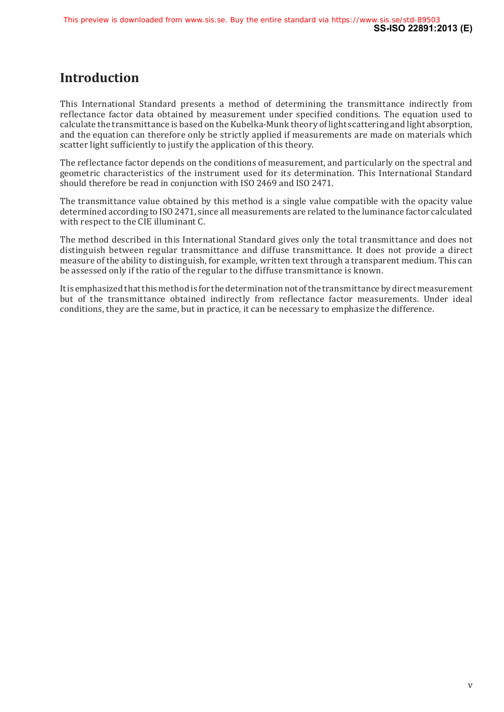## <span id="page-6-0"></span>**Introduction**

This International Standard presents a method of determining the transmittance indirectly from reflectance factor data obtained by measurement under specified conditions. The equation used to calculate the transmittance is based on the Kubelka-Munk theory of light scattering and light absorption, and the equation can therefore only be strictly applied if measurements are made on materials which scatter light sufficiently to justify the application of this theory.

The reflectance factor depends on the conditions of measurement, and particularly on the spectral and geometric characteristics of the instrument used for its determination. This International Standard should therefore be read in conjunction with ISO 2469 and ISO 2471.

The transmittance value obtained by this method is a single value compatible with the opacity value determined according to ISO 2471, since all measurements are related to the luminance factor calculated with respect to the CIE illuminant C.

The method described in this International Standard gives only the total transmittance and does not distinguish between regular transmittance and diffuse transmittance. It does not provide a direct measure of the ability to distinguish, for example, written text through a transparent medium. This can be assessed only if the ratio of the regular to the diffuse transmittance is known.

It is emphasized that this method is for the determination not of the transmittance by direct measurement but of the transmittance obtained indirectly from reflectance factor measurements. Under ideal conditions, they are the same, but in practice, it can be necessary to emphasize the difference.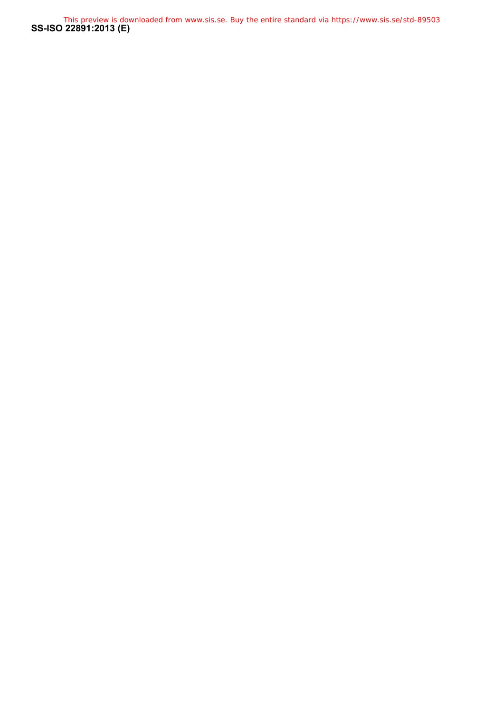**SS-ISO 22891:2013 (E)** This preview is downloaded from www.sis.se. Buy the entire standard via https://www.sis.se/std-89503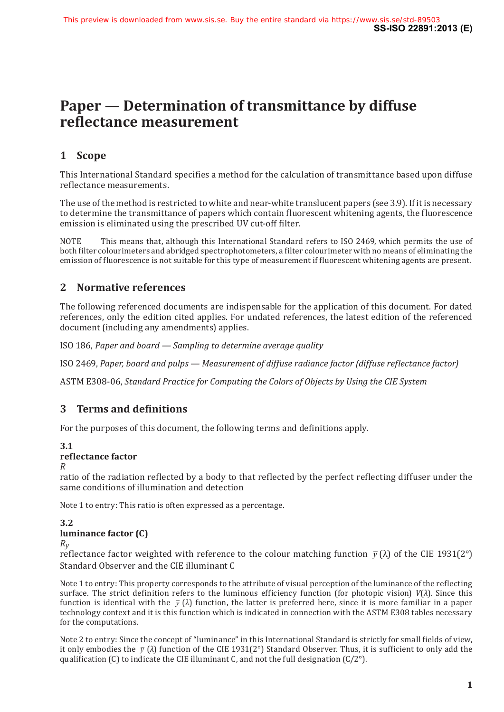## <span id="page-8-0"></span>**Paper — Determination of transmittance by diffuse reflectance measurement**

### **1 Scope**

This International Standard specifies a method for the calculation of transmittance based upon diffuse reflectance measurements.

The use of the method is restricted to white and near-white translucent papers (see 3.9). If it is necessary to determine the transmittance of papers which contain fluorescent whitening agents, the fluorescence emission is eliminated using the prescribed UV cut-off filter.

NOTE This means that, although this International Standard refers to ISO 2469, which permits the use of both filter colourimeters and abridged spectrophotometers, a filter colourimeter with no means of eliminating the emission of fluorescence is not suitable for this type of measurement if fluorescent whitening agents are present.

#### **2 Normative references**

The following referenced documents are indispensable for the application of this document. For dated references, only the edition cited applies. For undated references, the latest edition of the referenced document (including any amendments) applies.

ISO 186, *Paper and board — Sampling to determine average quality*

ISO 2469, *Paper, board and pulps — Measurement of diffuse radiance factor (diffuse reflectance factor)*

ASTM E308-06, *Standard Practice for Computing the Colors of Objects by Using the CIE System*

### **3 Terms and definitions**

For the purposes of this document, the following terms and definitions apply.

### **3.1**

#### **reflectance factor**

#### *R*

ratio of the radiation reflected by a body to that reflected by the perfect reflecting diffuser under the same conditions of illumination and detection

Note 1 to entry: This ratio is often expressed as a percentage.

### **3.2**

### **luminance factor (C)**

 $R_{\nu}$ 

reflectance factor weighted with reference to the colour matching function  $\bar{y}$  (λ) of the CIE 1931(2°) Standard Observer and the CIE illuminant C

Note 1 to entry: This property corresponds to the attribute of visual perception of the luminance of the reflecting surface. The strict definition refers to the luminous efficiency function (for photopic vision) *V*(*λ*). Since this function is identical with the *y* (*λ*) function, the latter is preferred here, since it is more familiar in a paper technology context and it is this function which is indicated in connection with the ASTM E308 tables necessary for the computations.

Note 2 to entry: Since the concept of "luminance" in this International Standard is strictly for small fields of view, it only embodies the *y* (*λ*) function of the CIE 1931(2°) Standard Observer. Thus, it is sufficient to only add the qualification (C) to indicate the CIE illuminant C, and not the full designation  $(C/2^{\circ})$ .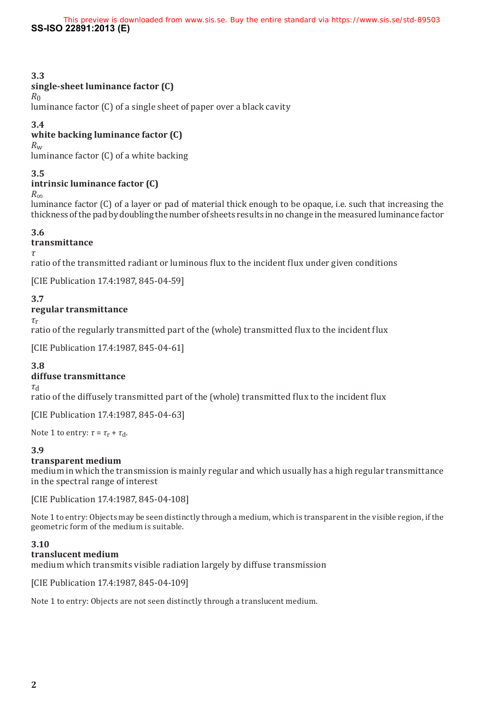#### **3.3**

#### **single-sheet luminance factor (C)**

*R*0

## luminance factor (C) of a single sheet of paper over a black cavity

#### **3.4**

### **white backing luminance factor (C)**

*R*w luminance factor (C) of a white backing

#### **3.5**

#### **intrinsic luminance factor (C)**

*R*∞

luminance factor (C) of a layer or pad of material thick enough to be opaque, i.e. such that increasing the thickness of the pad by doubling the number of sheets results in no change in the measured luminance factor

#### **3.6**

#### **transmittance**

*τ*

ratio of the transmitted radiant or luminous flux to the incident flux under given conditions

[CIE Publication 17.4:1987, 845-04-59]

#### **3.7**

#### **regular transmittance**

*τ*r ratio of the regularly transmitted part of the (whole) transmitted flux to the incident flux

[CIE Publication 17.4:1987, 845-04-61]

#### **3.8**

#### **diffuse transmittance**

*τ*d

ratio of the diffusely transmitted part of the (whole) transmitted flux to the incident flux

[CIE Publication 17.4:1987, 845-04-63]

Note 1 to entry:  $\tau = \tau_r + \tau_d$ .

#### **3.9**

#### **transparent medium**

medium in which the transmission is mainly regular and which usually has a high regular transmittance in the spectral range of interest

[CIE Publication 17.4:1987, 845-04-108]

Note 1 to entry: Objects may be seen distinctly through a medium, which is transparent in the visible region, if the geometric form of the medium is suitable.

#### **3.10**

#### **translucent medium**

medium which transmits visible radiation largely by diffuse transmission

[CIE Publication 17.4:1987, 845-04-109]

Note 1 to entry: Objects are not seen distinctly through a translucent medium.